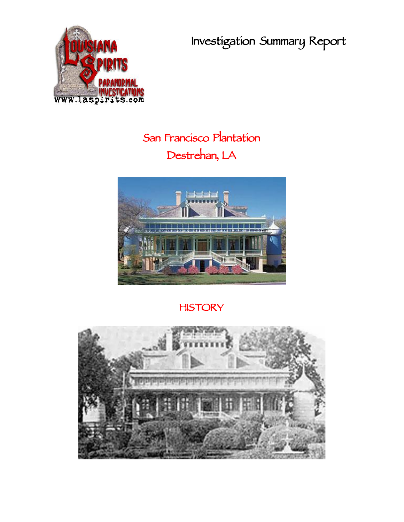**Investigation Summary Report**



## **San Francisco Plantation Destrehan, LA**



## **HISTORY**

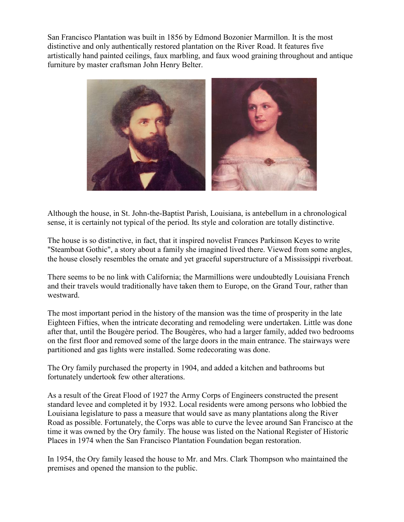San Francisco Plantation was built in 1856 by Edmond Bozonier Marmillon. It is the most distinctive and only authentically restored plantation on the River Road. It features five artistically hand painted ceilings, faux marbling, and faux wood graining throughout and antique furniture by master craftsman John Henry Belter.



Although the house, in St. John-the-Baptist Parish, Louisiana, is antebellum in a chronological sense, it is certainly not typical of the period. Its style and coloration are totally distinctive.

The house is so distinctive, in fact, that it inspired novelist Frances Parkinson Keyes to write "Steamboat Gothic", a story about a family she imagined lived there. Viewed from some angles, the house closely resembles the ornate and yet graceful superstructure of a Mississippi riverboat.

There seems to be no link with California; the Marmillions were undoubtedly Louisiana French and their travels would traditionally have taken them to Europe, on the Grand Tour, rather than westward.

The most important period in the history of the mansion was the time of prosperity in the late Eighteen Fifties, when the intricate decorating and remodeling were undertaken. Little was done after that, until the Bougère period. The Bougères, who had a larger family, added two bedrooms on the first floor and removed some of the large doors in the main entrance. The stairways were partitioned and gas lights were installed. Some redecorating was done.

The Ory family purchased the property in 1904, and added a kitchen and bathrooms but fortunately undertook few other alterations.

As a result of the Great Flood of 1927 the Army Corps of Engineers constructed the present standard levee and completed it by 1932. Local residents were among persons who lobbied the Louisiana legislature to pass a measure that would save as many plantations along the River Road as possible. Fortunately, the Corps was able to curve the levee around San Francisco at the time it was owned by the Ory family. The house was listed on the National Register of Historic Places in 1974 when the San Francisco Plantation Foundation began restoration.

In 1954, the Ory family leased the house to Mr. and Mrs. Clark Thompson who maintained the premises and opened the mansion to the public.